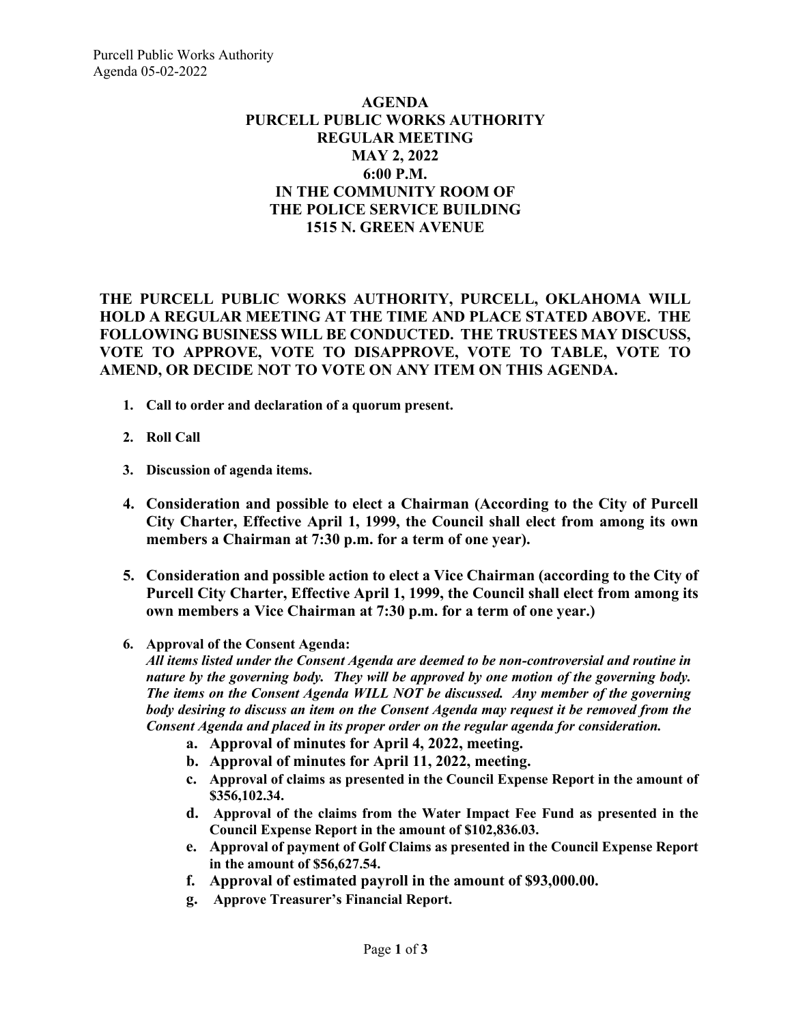## **AGENDA PURCELL PUBLIC WORKS AUTHORITY REGULAR MEETING MAY 2, 2022 6:00 P.M. IN THE COMMUNITY ROOM OF THE POLICE SERVICE BUILDING 1515 N. GREEN AVENUE**

**THE PURCELL PUBLIC WORKS AUTHORITY, PURCELL, OKLAHOMA WILL HOLD A REGULAR MEETING AT THE TIME AND PLACE STATED ABOVE. THE FOLLOWING BUSINESS WILL BE CONDUCTED. THE TRUSTEES MAY DISCUSS, VOTE TO APPROVE, VOTE TO DISAPPROVE, VOTE TO TABLE, VOTE TO AMEND, OR DECIDE NOT TO VOTE ON ANY ITEM ON THIS AGENDA.**

- **1. Call to order and declaration of a quorum present.**
- **2. Roll Call**
- **3. Discussion of agenda items.**
- **4. Consideration and possible to elect a Chairman (According to the City of Purcell City Charter, Effective April 1, 1999, the Council shall elect from among its own members a Chairman at 7:30 p.m. for a term of one year).**
- **5. Consideration and possible action to elect a Vice Chairman (according to the City of Purcell City Charter, Effective April 1, 1999, the Council shall elect from among its own members a Vice Chairman at 7:30 p.m. for a term of one year.)**
- **6. Approval of the Consent Agenda:**

*All items listed under the Consent Agenda are deemed to be non-controversial and routine in nature by the governing body. They will be approved by one motion of the governing body. The items on the Consent Agenda WILL NOT be discussed. Any member of the governing body desiring to discuss an item on the Consent Agenda may request it be removed from the Consent Agenda and placed in its proper order on the regular agenda for consideration.*

- **a. Approval of minutes for April 4, 2022, meeting.**
- **b. Approval of minutes for April 11, 2022, meeting.**
- **c. Approval of claims as presented in the Council Expense Report in the amount of \$356,102.34.**
- **d. Approval of the claims from the Water Impact Fee Fund as presented in the Council Expense Report in the amount of \$102,836.03.**
- **e. Approval of payment of Golf Claims as presented in the Council Expense Report in the amount of \$56,627.54.**
- **f. Approval of estimated payroll in the amount of \$93,000.00.**
- **g. Approve Treasurer's Financial Report.**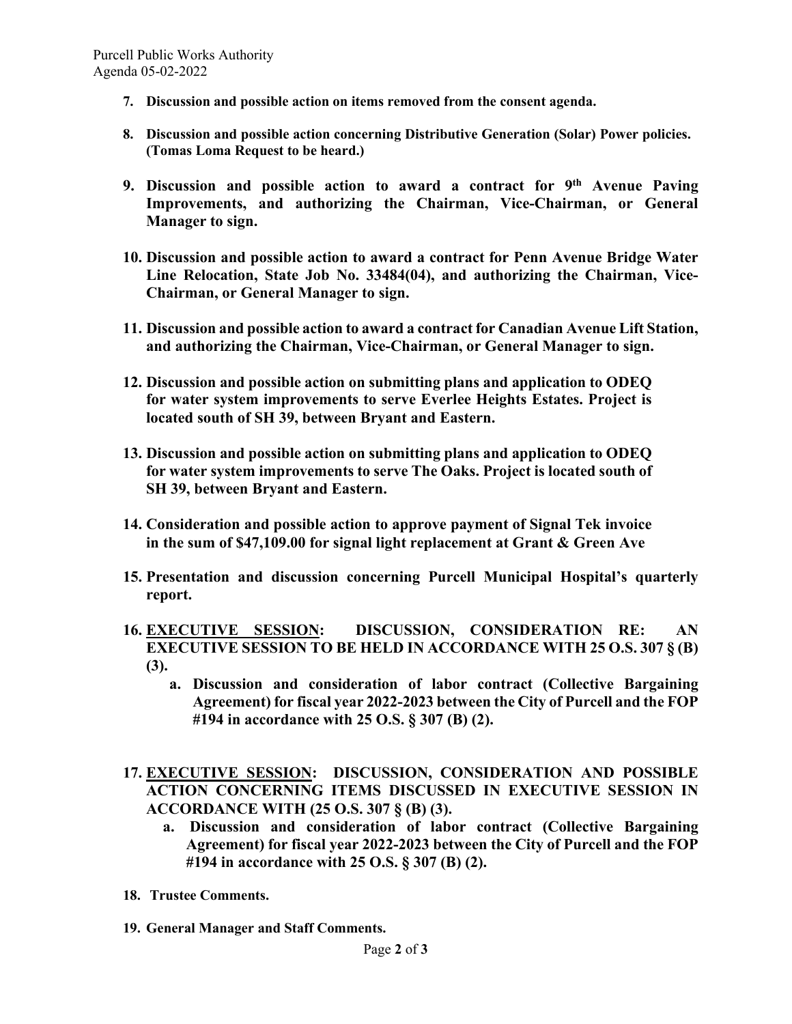- **7. Discussion and possible action on items removed from the consent agenda.**
- **8. Discussion and possible action concerning Distributive Generation (Solar) Power policies. (Tomas Loma Request to be heard.)**
- **9. Discussion and possible action to award a contract for 9th Avenue Paving Improvements, and authorizing the Chairman, Vice-Chairman, or General Manager to sign.**
- **10. Discussion and possible action to award a contract for Penn Avenue Bridge Water Line Relocation, State Job No. 33484(04), and authorizing the Chairman, Vice-Chairman, or General Manager to sign.**
- **11. Discussion and possible action to award a contract for Canadian Avenue Lift Station, and authorizing the Chairman, Vice-Chairman, or General Manager to sign.**
- **12. Discussion and possible action on submitting plans and application to ODEQ for water system improvements to serve Everlee Heights Estates. Project is located south of SH 39, between Bryant and Eastern.**
- **13. Discussion and possible action on submitting plans and application to ODEQ for water system improvements to serve The Oaks. Project is located south of SH 39, between Bryant and Eastern.**
- **14. Consideration and possible action to approve payment of Signal Tek invoice in the sum of \$47,109.00 for signal light replacement at Grant & Green Ave**
- **15. Presentation and discussion concerning Purcell Municipal Hospital's quarterly report.**
- **16. EXECUTIVE SESSION: DISCUSSION, CONSIDERATION RE: AN EXECUTIVE SESSION TO BE HELD IN ACCORDANCE WITH 25 O.S. 307 § (B) (3).**
	- **a. Discussion and consideration of labor contract (Collective Bargaining Agreement) for fiscal year 2022-2023 between the City of Purcell and the FOP #194 in accordance with 25 O.S. § 307 (B) (2).**
- **17. EXECUTIVE SESSION: DISCUSSION, CONSIDERATION AND POSSIBLE ACTION CONCERNING ITEMS DISCUSSED IN EXECUTIVE SESSION IN ACCORDANCE WITH (25 O.S. 307 § (B) (3).**
	- **a. Discussion and consideration of labor contract (Collective Bargaining Agreement) for fiscal year 2022-2023 between the City of Purcell and the FOP #194 in accordance with 25 O.S. § 307 (B) (2).**
- **18. Trustee Comments.**
- **19. General Manager and Staff Comments.**